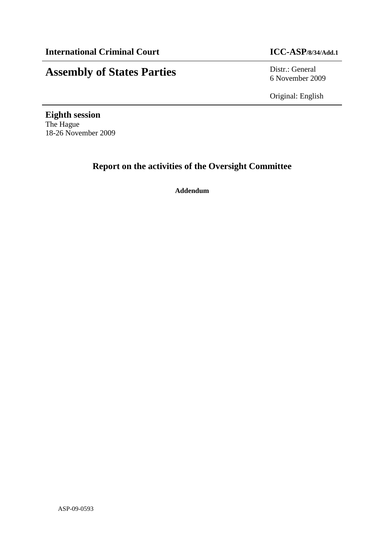# **Assembly of States Parties** Distr.: General

6 November 2009

Original: English

**Eighth session**  The Hague 18-26 November 2009

## **Report on the activities of the Oversight Committee**

**Addendum**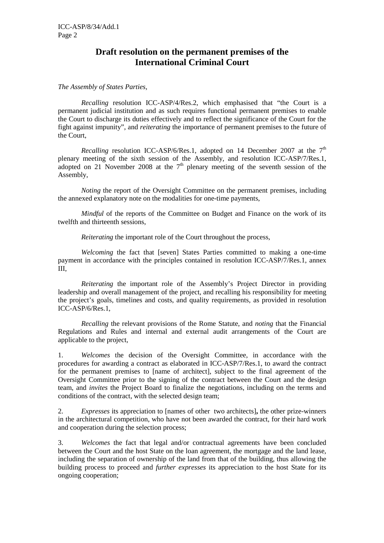### **Draft resolution on the permanent premises of the International Criminal Court**

### *The Assembly of States Parties,*

 *Recalling* resolution ICC-ASP/4/Res.2, which emphasised that "the Court is a permanent judicial institution and as such requires functional permanent premises to enable the Court to discharge its duties effectively and to reflect the significance of the Court for the fight against impunity", and *reiterating* the importance of permanent premises to the future of the Court,

*Recalling* resolution ICC-ASP/6/Res.1, adopted on 14 December 2007 at the  $7<sup>th</sup>$ plenary meeting of the sixth session of the Assembly, and resolution ICC-ASP/7/Res.1, adopted on 21 November 2008 at the  $7<sup>th</sup>$  plenary meeting of the seventh session of the Assembly,

*Noting* the report of the Oversight Committee on the permanent premises, including the annexed explanatory note on the modalities for one-time payments,

 *Mindful* of the reports of the Committee on Budget and Finance on the work of its twelfth and thirteenth sessions,

 *Reiterating* the important role of the Court throughout the process,

*Welcoming* the fact that [seven] States Parties committed to making a one-time payment in accordance with the principles contained in resolution ICC-ASP/7/Res.1, annex III,

 *Reiterating* the important role of the Assembly's Project Director in providing leadership and overall management of the project, and recalling his responsibility for meeting the project's goals, timelines and costs, and quality requirements, as provided in resolution ICC-ASP/6/Res.1,

 *Recalling* the relevant provisions of the Rome Statute, and *noting* that the Financial Regulations and Rules and internal and external audit arrangements of the Court are applicable to the project,

1. *Welcomes* the decision of the Oversight Committee, in accordance with the procedures for awarding a contract as elaborated in ICC-ASP/7/Res.1, to award the contract for the permanent premises to [name of architect], subject to the final agreement of the Oversight Committee prior to the signing of the contract between the Court and the design team, and *invites* the Project Board to finalize the negotiations, including on the terms and conditions of the contract, with the selected design team;

2. *Expresses* its appreciation to [names of other two architects]**,** the other prize-winners in the architectural competition, who have not been awarded the contract, for their hard work and cooperation during the selection process;

3. *Welcomes* the fact that legal and/or contractual agreements have been concluded between the Court and the host State on the loan agreement, the mortgage and the land lease, including the separation of ownership of the land from that of the building, thus allowing the building process to proceed and *further expresses* its appreciation to the host State for its ongoing cooperation;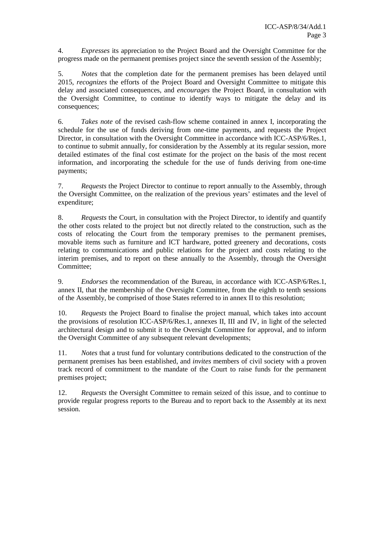4. *Expresses* its appreciation to the Project Board and the Oversight Committee for the progress made on the permanent premises project since the seventh session of the Assembly;

5. *Notes* that the completion date for the permanent premises has been delayed until 2015, *recognizes* the efforts of the Project Board and Oversight Committee to mitigate this delay and associated consequences, and *encourages* the Project Board, in consultation with the Oversight Committee, to continue to identify ways to mitigate the delay and its consequences;

6. *Takes note* of the revised cash-flow scheme contained in annex I, incorporating the schedule for the use of funds deriving from one-time payments, and requests the Project Director, in consultation with the Oversight Committee in accordance with ICC-ASP/6/Res.1, to continue to submit annually, for consideration by the Assembly at its regular session, more detailed estimates of the final cost estimate for the project on the basis of the most recent information, and incorporating the schedule for the use of funds deriving from one-time payments;

7. *Requests* the Project Director to continue to report annually to the Assembly, through the Oversight Committee, on the realization of the previous years' estimates and the level of expenditure;

8. *Requests* the Court, in consultation with the Project Director, to identify and quantify the other costs related to the project but not directly related to the construction, such as the costs of relocating the Court from the temporary premises to the permanent premises, movable items such as furniture and ICT hardware, potted greenery and decorations, costs relating to communications and public relations for the project and costs relating to the interim premises, and to report on these annually to the Assembly, through the Oversight Committee;

9. *Endorses* the recommendation of the Bureau, in accordance with ICC-ASP/6/Res.1, annex II, that the membership of the Oversight Committee, from the eighth to tenth sessions of the Assembly, be comprised of those States referred to in annex II to this resolution;

10. *Requests* the Project Board to finalise the project manual, which takes into account the provisions of resolution ICC-ASP/6/Res.1, annexes II, III and IV, in light of the selected architectural design and to submit it to the Oversight Committee for approval*,* and to inform the Oversight Committee of any subsequent relevant developments;

11. *Notes* that a trust fund for voluntary contributions dedicated to the construction of the permanent premises has been established, and *invites* members of civil society with a proven track record of commitment to the mandate of the Court to raise funds for the permanent premises project;

12. *Requests* the Oversight Committee to remain seized of this issue, and to continue to provide regular progress reports to the Bureau and to report back to the Assembly at its next session.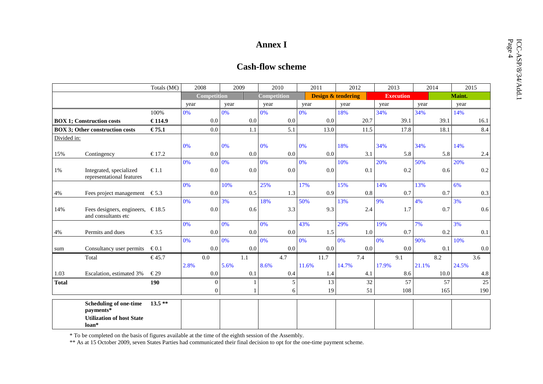|              |                                                                                         |                      |      |                    |      |              | <b>Annex I</b> | <b>Cash-flow scheme</b> |       |                               |       |         |       |                  |       |         |        |         |
|--------------|-----------------------------------------------------------------------------------------|----------------------|------|--------------------|------|--------------|----------------|-------------------------|-------|-------------------------------|-------|---------|-------|------------------|-------|---------|--------|---------|
|              |                                                                                         | Totals $(M\epsilon)$ | 2008 |                    | 2009 |              | 2010           |                         | 2011  |                               | 2012  |         | 2013  |                  | 2014  |         | 2015   |         |
|              |                                                                                         |                      |      | <b>Competition</b> |      |              | Competition    |                         |       | <b>Design &amp; tendering</b> |       |         |       | <b>Execution</b> |       |         | Maint. |         |
|              |                                                                                         |                      | year |                    | year |              | year           |                         | year  |                               | year  |         | year  |                  | year  |         | year   |         |
|              |                                                                                         | 100%                 | 0%   |                    | 0%   |              | 0%             |                         | 0%    |                               | 18%   |         | 34%   |                  | 34%   |         | 14%    |         |
|              | <b>BOX 1; Construction costs</b>                                                        | € 114.9              |      | 0.0                |      | 0.0          |                | $0.0\,$                 |       | $0.0\,$                       |       | 20.7    |       | 39.1             |       | 39.1    |        | 16.1    |
|              | <b>BOX 3; Other construction costs</b>                                                  | € 75.1               |      | $0.0\,$            |      | 1.1          |                | 5.1                     |       | 13.0                          |       | 11.5    |       | 17.8             |       | 18.1    |        | 8.4     |
| Divided in:  |                                                                                         |                      |      |                    |      |              |                |                         |       |                               |       |         |       |                  |       |         |        |         |
| 15%<br>1%    |                                                                                         |                      | 0%   |                    | 0%   |              | 0%             |                         | 0%    |                               | 18%   |         | 34%   |                  | 34%   |         | 14%    |         |
|              | Contingency                                                                             | € 17.2               |      | 0.0                |      | 0.0          |                | 0.0                     |       | $0.0\,$                       |       | 3.1     |       | 5.8              |       | 5.8     |        | 2.4     |
|              | Integrated, specialized<br>representational features                                    | € 1.1                | 0%   | 0.0                | 0%   | $0.0\,$      | 0%             | $0.0\,$                 | 0%    | $0.0\,$                       | 10%   | 0.1     | 20%   | 0.2              | 50%   | 0.6     | 20%    | 0.2     |
|              |                                                                                         |                      | 0%   |                    | 10%  |              | 25%            |                         | 17%   |                               | 15%   |         | 14%   |                  | 13%   |         | 6%     |         |
| $4\%$        | Fees project management $\epsilon$ 5.3                                                  |                      |      | 0.0                |      | 0.5          |                | 1.3                     |       | 0.9                           |       | $0.8\,$ |       | 0.7              |       | 0.7     |        | 0.3     |
|              |                                                                                         |                      | 0%   |                    | 3%   |              | 18%            |                         | 50%   |                               | 13%   |         | 9%    |                  | 4%    |         | 3%     |         |
| 14%          | Fees designers, engineers, $\in$ 18.5<br>and consultants etc                            |                      |      | 0.0                |      | 0.6          |                | 3.3                     |       | 9.3                           |       | 2.4     |       | 1.7              |       | $0.7\,$ |        | 0.6     |
|              |                                                                                         |                      | 0%   |                    | 0%   |              | 0%             |                         | 43%   |                               | 29%   |         | 19%   |                  | 7%    |         | 3%     |         |
| 4%           | Permits and dues                                                                        | $\epsilon$ 3.5       |      | 0.0                |      | 0.0          |                | 0.0                     |       | 1.5                           |       | 1.0     |       | 0.7              |       | 0.2     |        | 0.1     |
|              |                                                                                         |                      | 0%   |                    | 0%   |              | 0%             |                         | 0%    |                               | 0%    |         | 0%    |                  | 90%   |         | 10%    |         |
| sum          | Consultancy user permits                                                                | $\epsilon$ 0.1       |      | 0.0                |      | $0.0\,$      |                | 0.0                     |       | 0.0                           |       | 0.0     |       | $0.0\,$          |       | 0.1     |        | 0.0     |
|              | Total                                                                                   | € 45.7               |      | 0.0                |      | 1.1          |                | 4.7                     |       | 11.7                          |       | 7.4     |       | 9.1              |       | 8.2     |        | 3.6     |
|              |                                                                                         |                      | 2.8% |                    | 5.6% |              | 8.6%           |                         | 11.6% |                               | 14.7% |         | 17.9% |                  | 21.1% |         | 24.5%  |         |
| 1.03         | Escalation, estimated 3%                                                                | $\epsilon$ 29        |      | $0.0\,$            |      | 0.1          |                | $0.4\,$                 |       | 1.4                           |       | 4.1     |       | 8.6              |       | 10.0    |        | $4.8\,$ |
| <b>Total</b> |                                                                                         | 190                  |      | $\mathbf{0}$       |      | $\mathbf{1}$ |                | $\sqrt{5}$              |       | 13                            |       | 32      |       | 57               |       | 57      |        | $25\,$  |
|              |                                                                                         |                      |      | $\Omega$           |      | $\mathbf{1}$ |                | 6                       |       | 19                            |       | 51      |       | 108              |       | 165     |        | 190     |
|              | <b>Scheduling of one-time</b><br>payments*<br><b>Utilization of host State</b><br>loan* | $13.5**$             |      |                    |      |              |                |                         |       |                               |       |         |       |                  |       |         |        |         |

\* To be completed on the basis of figures available at the time of the eighth session of the Assembly.<br>\*\* As at 15 October 2009, seven States Parties had communicated their final decision to opt for the one-time payment sc